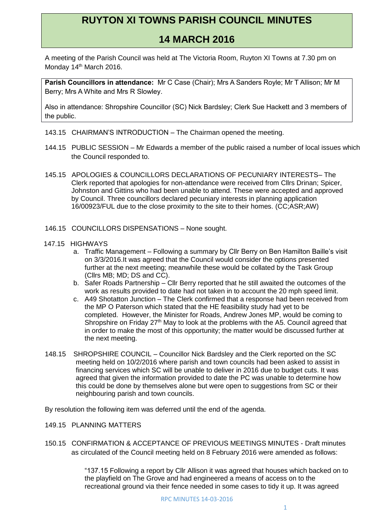# **RUYTON XI TOWNS PARISH COUNCIL MINUTES**

# **14 MARCH 2016**

A meeting of the Parish Council was held at The Victoria Room, Ruyton XI Towns at 7.30 pm on Monday 14<sup>th</sup> March 2016.

**Parish Councillors in attendance:** Mr C Case (Chair); Mrs A Sanders Royle; Mr T Allison; Mr M Berry; Mrs A White and Mrs R Slowley.

Also in attendance: Shropshire Councillor (SC) Nick Bardsley; Clerk Sue Hackett and 3 members of the public.

- 143.15 CHAIRMAN'S INTRODUCTION The Chairman opened the meeting.
- 144.15 PUBLIC SESSION Mr Edwards a member of the public raised a number of local issues which the Council responded to.
- 145.15 APOLOGIES & COUNCILLORS DECLARATIONS OF PECUNIARY INTERESTS– The Clerk reported that apologies for non-attendance were received from Cllrs Drinan; Spicer, Johnston and Gittins who had been unable to attend. These were accepted and approved by Council. Three councillors declared pecuniary interests in planning application 16/00923/FUL due to the close proximity to the site to their homes. (CC;ASR;AW)
- 146.15 COUNCILLORS DISPENSATIONS None sought.
- 147.15 HIGHWAYS
	- a. Traffic Management Following a summary by Cllr Berry on Ben Hamilton Baille's visit on 3/3/2016.It was agreed that the Council would consider the options presented further at the next meeting; meanwhile these would be collated by the Task Group (Cllrs MB; MD; DS and CC).
	- b. Safer Roads Partnership Cllr Berry reported that he still awaited the outcomes of the work as results provided to date had not taken in to account the 20 mph speed limit.
	- c. A49 Shotatton Junction The Clerk confirmed that a response had been received from the MP O Paterson which stated that the HE feasibility study had yet to be completed. However, the Minister for Roads, Andrew Jones MP, would be coming to Shropshire on Friday 27<sup>th</sup> May to look at the problems with the A5. Council agreed that in order to make the most of this opportunity; the matter would be discussed further at the next meeting.
- 148.15 SHROPSHIRE COUNCIL Councillor Nick Bardsley and the Clerk reported on the SC meeting held on 10/2/2016 where parish and town councils had been asked to assist in financing services which SC will be unable to deliver in 2016 due to budget cuts. It was agreed that given the information provided to date the PC was unable to determine how this could be done by themselves alone but were open to suggestions from SC or their neighbouring parish and town councils.

By resolution the following item was deferred until the end of the agenda.

- 149.15 PLANNING MATTERS
- 150.15 CONFIRMATION & ACCEPTANCE OF PREVIOUS MEETINGS MINUTES Draft minutes as circulated of the Council meeting held on 8 February 2016 were amended as follows:

"137.15 Following a report by Cllr Allison it was agreed that houses which backed on to the playfield on The Grove and had engineered a means of access on to the recreational ground via their fence needed in some cases to tidy it up. It was agreed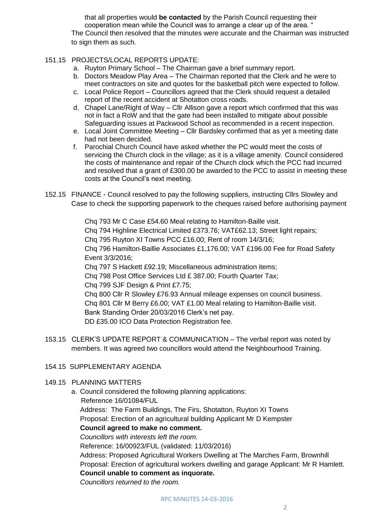that all properties would **be contacted** by the Parish Council requesting their cooperation mean while the Council was to arrange a clear up of the area. " The Council then resolved that the minutes were accurate and the Chairman was instructed to sign them as such.

#### 151.15 PROJECTS/LOCAL REPORTS UPDATE:

- a. Ruyton Primary School The Chairman gave a brief summary report.
- b. Doctors Meadow Play Area The Chairman reported that the Clerk and he were to meet contractors on site and quotes for the basketball pitch were expected to follow.
- c. Local Police Report Councillors agreed that the Clerk should request a detailed report of the recent accident at Shotatton cross roads.
- d. Chapel Lane/Right of Way Cllr Allison gave a report which confirmed that this was not in fact a RoW and that the gate had been installed to mitigate about possible Safeguarding issues at Packwood School as recommended in a recent inspection.
- e. Local Joint Committee Meeting Cllr Bardsley confirmed that as yet a meeting date had not been decided.
- f. Parochial Church Council have asked whether the PC would meet the costs of servicing the Church clock in the village; as it is a village amenity. Council considered the costs of maintenance and repair of the Church clock which the PCC had incurred and resolved that a grant of £300.00 be awarded to the PCC to assist in meeting these costs at the Council's next meeting.
- 152.15 FINANCE Council resolved to pay the following suppliers, instructing Cllrs Slowley and Case to check the supporting paperwork to the cheques raised before authorising payment

Chq 793 Mr C Case £54.60 Meal relating to Hamilton-Baille visit. Chq 794 Highline Electrical Limited £373.76; VAT£62.13; Street light repairs; Chq 795 Ruyton XI Towns PCC £16.00; Rent of room 14/3/16; Chq 796 Hamilton-Baillie Associates £1,176.00; VAT £196.00 Fee for Road Safety Event 3/3/2016; Chq 797 S Hackett £92.19; Miscellaneous administration items;

Chq 798 Post Office Services Ltd £ 387.00; Fourth Quarter Tax;

Chq 799 SJF Design & Print £7.75;

Chq 800 Cllr R Slowley £76.93 Annual mileage expenses on council business. Chq 801 Cllr M Berry £6.00; VAT £1.00 Meal relating to Hamilton-Baille visit. Bank Standing Order 20/03/2016 Clerk's net pay. DD £35.00 ICO Data Protection Registration fee.

153.15 CLERK'S UPDATE REPORT & COMMUNICATION – The verbal report was noted by members. It was agreed two councillors would attend the Neighbourhood Training.

## 154.15 SUPPLEMENTARY AGENDA

## 149.15 PLANNING MATTERS

a. Council considered the following planning applications: Reference 16/01084/FUL Address: The Farm Buildings, The Firs, Shotatton, Ruyton XI Towns Proposal: Erection of an agricultural building Applicant Mr D Kempster **Council agreed to make no comment.** *Councillors with interests left the room.* Reference: 16/00923/FUL (validated: 11/03/2016) Address: Proposed Agricultural Workers Dwelling at The Marches Farm, Brownhill Proposal: Erection of agricultural workers dwelling and garage Applicant: Mr R Hamlett. **Council unable to comment as inquorate.**

*Councillors returned to the room.*